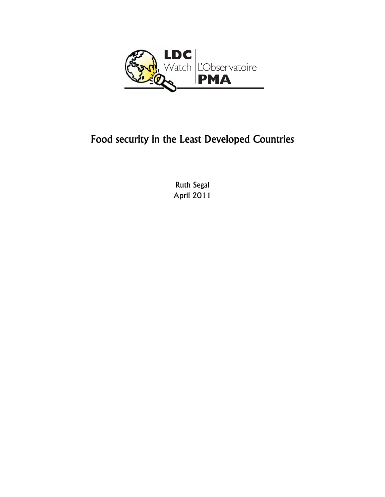

# Food security in the Least Developed Countries

Ruth Segal April 2011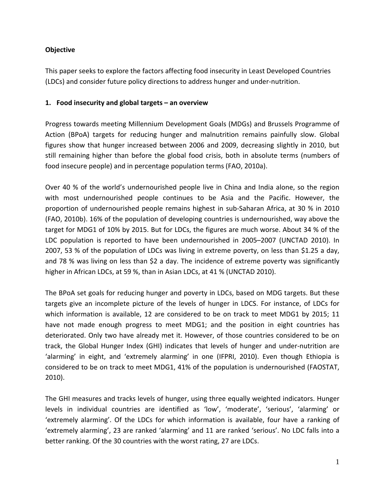### **Objective**

This paper seeks to explore the factors affecting food insecurity in Least Developed Countries (LDCs) and consider future policy directions to address hunger and under‐nutrition.

#### **1. Food insecurity and global targets – an overview**

Progress towards meeting Millennium Development Goals (MDGs) and Brussels Programme of Action (BPoA) targets for reducing hunger and malnutrition remains painfully slow. Global figures show that hunger increased between 2006 and 2009, decreasing slightly in 2010, but still remaining higher than before the global food crisis, both in absolute terms (numbers of food insecure people) and in percentage population terms (FAO, 2010a).

Over 40 % of the world's undernourished people live in China and India alone, so the region with most undernourished people continues to be Asia and the Pacific. However, the proportion of undernourished people remains highest in sub‐Saharan Africa, at 30 % in 2010 (FAO, 2010b). 16% of the population of developing countries is undernourished, way above the target for MDG1 of 10% by 2015. But for LDCs, the figures are much worse. About 34 % of the LDC population is reported to have been undernourished in 2005–2007 (UNCTAD 2010). In 2007, 53 % of the population of LDCs was living in extreme poverty, on less than \$1.25 a day, and 78 % was living on less than \$2 a day. The incidence of extreme poverty was significantly higher in African LDCs, at 59 %, than in Asian LDCs, at 41 % (UNCTAD 2010).

The BPoA set goals for reducing hunger and poverty in LDCs, based on MDG targets. But these targets give an incomplete picture of the levels of hunger in LDCS. For instance, of LDCs for which information is available, 12 are considered to be on track to meet MDG1 by 2015; 11 have not made enough progress to meet MDG1; and the position in eight countries has deteriorated. Only two have already met it. However, of those countries considered to be on track, the Global Hunger Index (GHI) indicates that levels of hunger and under‐nutrition are 'alarming' in eight, and 'extremely alarming' in one (IFPRI, 2010). Even though Ethiopia is considered to be on track to meet MDG1, 41% of the population is undernourished (FAOSTAT, 2010).

The GHI measures and tracks levels of hunger, using three equally weighted indicators. Hunger levels in individual countries are identified as 'low', 'moderate', 'serious', 'alarming' or 'extremely alarming'. Of the LDCs for which information is available, four have a ranking of 'extremely alarming', 23 are ranked 'alarming' and 11 are ranked 'serious'. No LDC falls into a better ranking. Of the 30 countries with the worst rating, 27 are LDCs.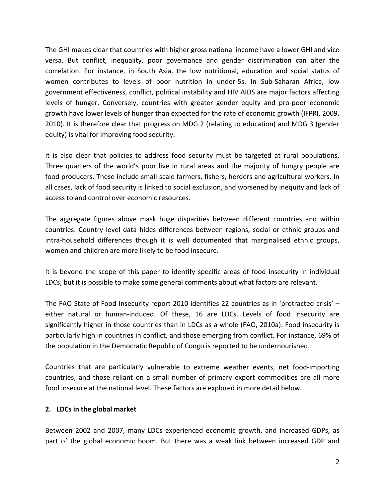The GHI makes clear that countries with higher gross national income have a lower GHI and vice versa. But conflict, inequality, poor governance and gender discrimination can alter the correlation. For instance, in South Asia, the low nutritional, education and social status of women contributes to levels of poor nutrition in under‐5s. In Sub‐Saharan Africa, low government effectiveness, conflict, political instability and HIV AIDS are major factors affecting levels of hunger. Conversely, countries with greater gender equity and pro‐poor economic growth have lower levels of hunger than expected for the rate of economic growth (IFPRI, 2009, 2010). It is therefore clear that progress on MDG 2 (relating to education) and MDG 3 (gender equity) is vital for improving food security.

It is also clear that policies to address food security must be targeted at rural populations. Three quarters of the world's poor live in rural areas and the majority of hungry people are food producers. These include small-scale farmers, fishers, herders and agricultural workers. In all cases, lack of food security is linked to social exclusion, and worsened by inequity and lack of access to and control over economic resources.

The aggregate figures above mask huge disparities between different countries and within countries. Country level data hides differences between regions, social or ethnic groups and intra‐household differences though it is well documented that marginalised ethnic groups, women and children are more likely to be food insecure.

It is beyond the scope of this paper to identify specific areas of food insecurity in individual LDCs, but it is possible to make some general comments about what factors are relevant.

The FAO State of Food Insecurity report 2010 identifies 22 countries as in 'protracted crisis' – either natural or human‐induced. Of these, 16 are LDCs. Levels of food insecurity are significantly higher in those countries than in LDCs as a whole (FAO, 2010a). Food insecurity is particularly high in countries in conflict, and those emerging from conflict. For instance, 69% of the population in the Democratic Republic of Congo is reported to be undernourished.

Countries that are particularly vulnerable to extreme weather events, net food‐importing countries, and those reliant on a small number of primary export commodities are all more food insecure at the national level. These factors are explored in more detail below.

### **2. LDCs in the global market**

Between 2002 and 2007, many LDCs experienced economic growth, and increased GDPs, as part of the global economic boom. But there was a weak link between increased GDP and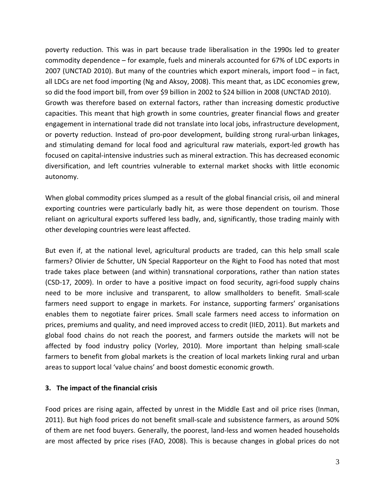poverty reduction. This was in part because trade liberalisation in the 1990s led to greater commodity dependence – for example, fuels and minerals accounted for 67% of LDC exports in 2007 (UNCTAD 2010). But many of the countries which export minerals, import food – in fact, all LDCs are net food importing (Ng and Aksoy, 2008). This meant that, as LDC economies grew, so did the food import bill, from over \$9 billion in 2002 to \$24 billion in 2008 (UNCTAD 2010). Growth was therefore based on external factors, rather than increasing domestic productive capacities. This meant that high growth in some countries, greater financial flows and greater engagement in international trade did not translate into local jobs, infrastructure development, or poverty reduction. Instead of pro‐poor development, building strong rural‐urban linkages, and stimulating demand for local food and agricultural raw materials, export-led growth has focused on capital‐intensive industries such as mineral extraction. This has decreased economic diversification, and left countries vulnerable to external market shocks with little economic autonomy.

When global commodity prices slumped as a result of the global financial crisis, oil and mineral exporting countries were particularly badly hit, as were those dependent on tourism. Those reliant on agricultural exports suffered less badly, and, significantly, those trading mainly with other developing countries were least affected.

But even if, at the national level, agricultural products are traded, can this help small scale farmers? Olivier de Schutter, UN Special Rapporteur on the Right to Food has noted that most trade takes place between (and within) transnational corporations, rather than nation states (CSD‐17, 2009). In order to have a positive impact on food security, agri‐food supply chains need to be more inclusive and transparent, to allow smallholders to benefit. Small-scale farmers need support to engage in markets. For instance, supporting farmers' organisations enables them to negotiate fairer prices. Small scale farmers need access to information on prices, premiums and quality, and need improved access to credit (IIED, 2011). But markets and global food chains do not reach the poorest, and farmers outside the markets will not be affected by food industry policy (Vorley, 2010). More important than helping small‐scale farmers to benefit from global markets is the creation of local markets linking rural and urban areas to support local 'value chains' and boost domestic economic growth.

#### **3. The impact of the financial crisis**

Food prices are rising again, affected by unrest in the Middle East and oil price rises (Inman, 2011). But high food prices do not benefit small‐scale and subsistence farmers, as around 50% of them are net food buyers. Generally, the poorest, land‐less and women headed households are most affected by price rises (FAO, 2008). This is because changes in global prices do not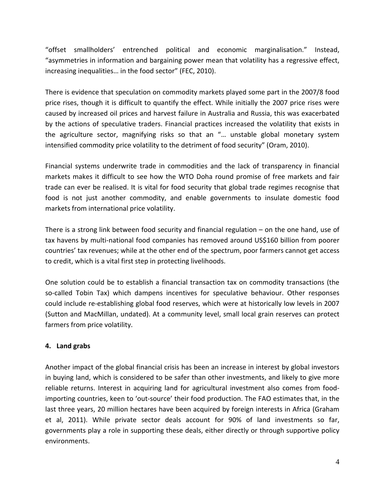"offset smallholders' entrenched political and economic marginalisation." Instead, "asymmetries in information and bargaining power mean that volatility has a regressive effect, increasing inequalities… in the food sector" (FEC, 2010).

There is evidence that speculation on commodity markets played some part in the 2007/8 food price rises, though it is difficult to quantify the effect. While initially the 2007 price rises were caused by increased oil prices and harvest failure in Australia and Russia, this was exacerbated by the actions of speculative traders. Financial practices increased the volatility that exists in the agriculture sector, magnifying risks so that an "… unstable global monetary system intensified commodity price volatility to the detriment of food security" (Oram, 2010).

Financial systems underwrite trade in commodities and the lack of transparency in financial markets makes it difficult to see how the WTO Doha round promise of free markets and fair trade can ever be realised. It is vital for food security that global trade regimes recognise that food is not just another commodity, and enable governments to insulate domestic food markets from international price volatility.

There is a strong link between food security and financial regulation – on the one hand, use of tax havens by multi‐national food companies has removed around US\$160 billion from poorer countries' tax revenues; while at the other end of the spectrum, poor farmers cannot get access to credit, which is a vital first step in protecting livelihoods.

One solution could be to establish a financial transaction tax on commodity transactions (the so-called Tobin Tax) which dampens incentives for speculative behaviour. Other responses could include re‐establishing global food reserves, which were at historically low levels in 2007 (Sutton and MacMillan, undated). At a community level, small local grain reserves can protect farmers from price volatility.

### **4. Land grabs**

Another impact of the global financial crisis has been an increase in interest by global investors in buying land, which is considered to be safer than other investments, and likely to give more reliable returns. Interest in acquiring land for agricultural investment also comes from food‐ importing countries, keen to 'out‐source' their food production. The FAO estimates that, in the last three years, 20 million hectares have been acquired by foreign interests in Africa (Graham et al, 2011). While private sector deals account for 90% of land investments so far, governments play a role in supporting these deals, either directly or through supportive policy environments.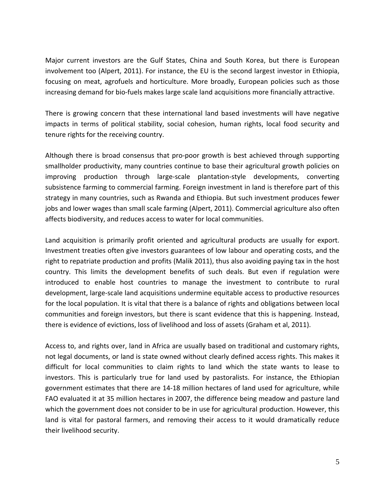Major current investors are the Gulf States, China and South Korea, but there is European involvement too (Alpert, 2011). For instance, the EU is the second largest investor in Ethiopia, focusing on meat, agrofuels and horticulture. More broadly, European policies such as those increasing demand for bio‐fuels makes large scale land acquisitions more financially attractive.

There is growing concern that these international land based investments will have negative impacts in terms of political stability, social cohesion, human rights, local food security and tenure rights for the receiving country.

Although there is broad consensus that pro‐poor growth is best achieved through supporting smallholder productivity, many countries continue to base their agricultural growth policies on improving production through large‐scale plantation‐style developments, converting subsistence farming to commercial farming. Foreign investment in land is therefore part of this strategy in many countries, such as Rwanda and Ethiopia. But such investment produces fewer jobs and lower wages than small scale farming (Alpert, 2011). Commercial agriculture also often affects biodiversity, and reduces access to water for local communities.

Land acquisition is primarily profit oriented and agricultural products are usually for export. Investment treaties often give investors guarantees of low labour and operating costs, and the right to repatriate production and profits (Malik 2011), thus also avoiding paying tax in the host country. This limits the development benefits of such deals. But even if regulation were introduced to enable host countries to manage the investment to contribute to rural development, large-scale land acquisitions undermine equitable access to productive resources for the local population. It is vital that there is a balance of rights and obligations between local communities and foreign investors, but there is scant evidence that this is happening. Instead, there is evidence of evictions, loss of livelihood and loss of assets (Graham et al, 2011).

Access to, and rights over, land in Africa are usually based on traditional and customary rights, not legal documents, or land is state owned without clearly defined access rights. This makes it difficult for local communities to claim rights to land which the state wants to lease to investors. This is particularly true for land used by pastoralists. For instance, the Ethiopian government estimates that there are 14‐18 million hectares of land used for agriculture, while FAO evaluated it at 35 million hectares in 2007, the difference being meadow and pasture land which the government does not consider to be in use for agricultural production. However, this land is vital for pastoral farmers, and removing their access to it would dramatically reduce their livelihood security.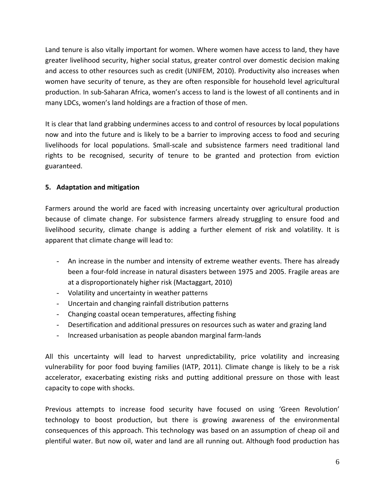Land tenure is also vitally important for women. Where women have access to land, they have greater livelihood security, higher social status, greater control over domestic decision making and access to other resources such as credit (UNIFEM, 2010). Productivity also increases when women have security of tenure, as they are often responsible for household level agricultural production. In sub‐Saharan Africa, women's access to land is the lowest of all continents and in many LDCs, women's land holdings are a fraction of those of men.

It is clear that land grabbing undermines access to and control of resources by local populations now and into the future and is likely to be a barrier to improving access to food and securing livelihoods for local populations. Small‐scale and subsistence farmers need traditional land rights to be recognised, security of tenure to be granted and protection from eviction guaranteed.

## **5. Adaptation and mitigation**

Farmers around the world are faced with increasing uncertainty over agricultural production because of climate change. For subsistence farmers already struggling to ensure food and livelihood security, climate change is adding a further element of risk and volatility. It is apparent that climate change will lead to:

- An increase in the number and intensity of extreme weather events. There has already been a four‐fold increase in natural disasters between 1975 and 2005. Fragile areas are at a disproportionately higher risk (Mactaggart, 2010)
- Volatility and uncertainty in weather patterns
- Uncertain and changing rainfall distribution patterns
- Changing coastal ocean temperatures, affecting fishing
- Desertification and additional pressures on resources such as water and grazing land
- Increased urbanisation as people abandon marginal farm‐lands

All this uncertainty will lead to harvest unpredictability, price volatility and increasing vulnerability for poor food buying families (IATP, 2011). Climate change is likely to be a risk accelerator, exacerbating existing risks and putting additional pressure on those with least capacity to cope with shocks.

Previous attempts to increase food security have focused on using 'Green Revolution' technology to boost production, but there is growing awareness of the environmental consequences of this approach. This technology was based on an assumption of cheap oil and plentiful water. But now oil, water and land are all running out. Although food production has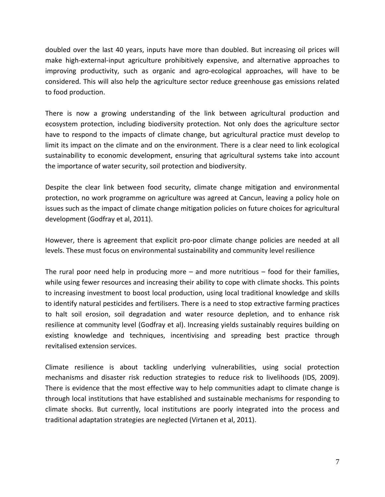doubled over the last 40 years, inputs have more than doubled. But increasing oil prices will make high‐external‐input agriculture prohibitively expensive, and alternative approaches to improving productivity, such as organic and agro-ecological approaches, will have to be considered. This will also help the agriculture sector reduce greenhouse gas emissions related to food production.

There is now a growing understanding of the link between agricultural production and ecosystem protection, including biodiversity protection. Not only does the agriculture sector have to respond to the impacts of climate change, but agricultural practice must develop to limit its impact on the climate and on the environment. There is a clear need to link ecological sustainability to economic development, ensuring that agricultural systems take into account the importance of water security, soil protection and biodiversity.

Despite the clear link between food security, climate change mitigation and environmental protection, no work programme on agriculture was agreed at Cancun, leaving a policy hole on issues such as the impact of climate change mitigation policies on future choices for agricultural development (Godfray et al, 2011).

However, there is agreement that explicit pro‐poor climate change policies are needed at all levels. These must focus on environmental sustainability and community level resilience

The rural poor need help in producing more – and more nutritious – food for their families, while using fewer resources and increasing their ability to cope with climate shocks. This points to increasing investment to boost local production, using local traditional knowledge and skills to identify natural pesticides and fertilisers. There is a need to stop extractive farming practices to halt soil erosion, soil degradation and water resource depletion, and to enhance risk resilience at community level (Godfray et al). Increasing yields sustainably requires building on existing knowledge and techniques, incentivising and spreading best practice through revitalised extension services.

Climate resilience is about tackling underlying vulnerabilities, using social protection mechanisms and disaster risk reduction strategies to reduce risk to livelihoods (IDS, 2009). There is evidence that the most effective way to help communities adapt to climate change is through local institutions that have established and sustainable mechanisms for responding to climate shocks. But currently, local institutions are poorly integrated into the process and traditional adaptation strategies are neglected (Virtanen et al, 2011).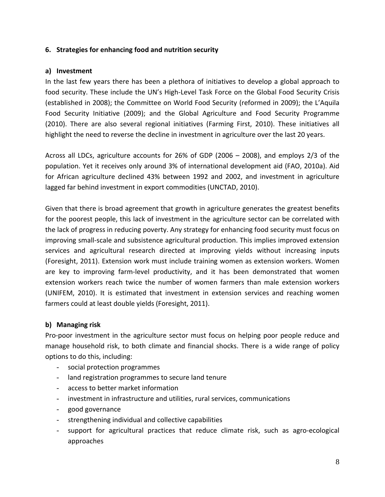#### **6. Strategies for enhancing food and nutrition security**

#### **a) Investment**

In the last few years there has been a plethora of initiatives to develop a global approach to food security. These include the UN's High-Level Task Force on the Global Food Security Crisis (established in 2008); the Committee on World Food Security (reformed in 2009); the L'Aquila Food Security Initiative (2009); and the Global Agriculture and Food Security Programme (2010). There are also several regional initiatives (Farming First, 2010). These initiatives all highlight the need to reverse the decline in investment in agriculture over the last 20 years.

Across all LDCs, agriculture accounts for 26% of GDP (2006 – 2008), and employs 2/3 of the population. Yet it receives only around 3% of international development aid (FAO, 2010a). Aid for African agriculture declined 43% between 1992 and 2002, and investment in agriculture lagged far behind investment in export commodities (UNCTAD, 2010).

Given that there is broad agreement that growth in agriculture generates the greatest benefits for the poorest people, this lack of investment in the agriculture sector can be correlated with the lack of progress in reducing poverty. Any strategy for enhancing food security must focus on improving small‐scale and subsistence agricultural production. This implies improved extension services and agricultural research directed at improving yields without increasing inputs (Foresight, 2011). Extension work must include training women as extension workers. Women are key to improving farm-level productivity, and it has been demonstrated that women extension workers reach twice the number of women farmers than male extension workers (UNIFEM, 2010). It is estimated that investment in extension services and reaching women farmers could at least double yields (Foresight, 2011).

#### **b) Managing risk**

Pro‐poor investment in the agriculture sector must focus on helping poor people reduce and manage household risk, to both climate and financial shocks. There is a wide range of policy options to do this, including:

- social protection programmes
- land registration programmes to secure land tenure
- access to better market information
- investment in infrastructure and utilities, rural services, communications
- good governance
- strengthening individual and collective capabilities
- support for agricultural practices that reduce climate risk, such as agro-ecological approaches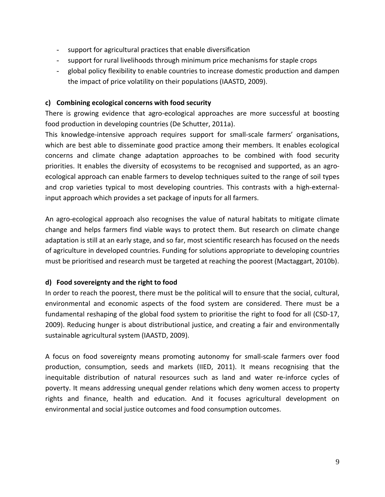- support for agricultural practices that enable diversification
- support for rural livelihoods through minimum price mechanisms for staple crops
- global policy flexibility to enable countries to increase domestic production and dampen the impact of price volatility on their populations (IAASTD, 2009).

#### **c) Combining ecological concerns with food security**

There is growing evidence that agro-ecological approaches are more successful at boosting food production in developing countries (De Schutter, 2011a).

This knowledge-intensive approach requires support for small-scale farmers' organisations, which are best able to disseminate good practice among their members. It enables ecological concerns and climate change adaptation approaches to be combined with food security priorities. It enables the diversity of ecosystems to be recognised and supported, as an agroecological approach can enable farmers to develop techniques suited to the range of soil types and crop varieties typical to most developing countries. This contrasts with a high‐external‐ input approach which provides a set package of inputs for all farmers.

An agro‐ecological approach also recognises the value of natural habitats to mitigate climate change and helps farmers find viable ways to protect them. But research on climate change adaptation is still at an early stage, and so far, most scientific research has focused on the needs of agriculture in developed countries. Funding for solutions appropriate to developing countries must be prioritised and research must be targeted at reaching the poorest (Mactaggart, 2010b).

### **d) Food sovereignty and the right to food**

In order to reach the poorest, there must be the political will to ensure that the social, cultural, environmental and economic aspects of the food system are considered. There must be a fundamental reshaping of the global food system to prioritise the right to food for all (CSD‐17, 2009). Reducing hunger is about distributional justice, and creating a fair and environmentally sustainable agricultural system (IAASTD, 2009).

A focus on food sovereignty means promoting autonomy for small‐scale farmers over food production, consumption, seeds and markets (IIED, 2011). It means recognising that the inequitable distribution of natural resources such as land and water re-inforce cycles of poverty. It means addressing unequal gender relations which deny women access to property rights and finance, health and education. And it focuses agricultural development on environmental and social justice outcomes and food consumption outcomes.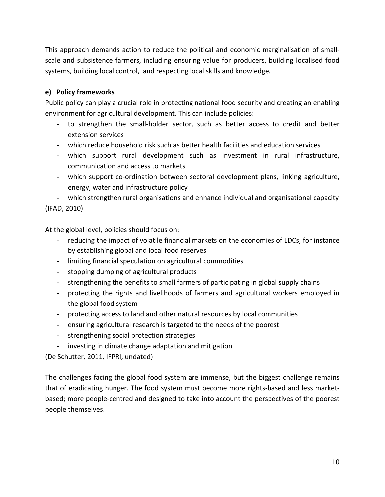This approach demands action to reduce the political and economic marginalisation of small‐ scale and subsistence farmers, including ensuring value for producers, building localised food systems, building local control, and respecting local skills and knowledge.

# **e) Policy frameworks**

Public policy can play a crucial role in protecting national food security and creating an enabling environment for agricultural development. This can include policies:

- to strengthen the small‐holder sector, such as better access to credit and better extension services
- which reduce household risk such as better health facilities and education services
- which support rural development such as investment in rural infrastructure, communication and access to markets
- which support co-ordination between sectoral development plans, linking agriculture, energy, water and infrastructure policy

- which strengthen rural organisations and enhance individual and organisational capacity (IFAD, 2010)

At the global level, policies should focus on:

- reducing the impact of volatile financial markets on the economies of LDCs, for instance by establishing global and local food reserves
- limiting financial speculation on agricultural commodities
- stopping dumping of agricultural products
- strengthening the benefits to small farmers of participating in global supply chains
- protecting the rights and livelihoods of farmers and agricultural workers employed in the global food system
- protecting access to land and other natural resources by local communities
- ensuring agricultural research is targeted to the needs of the poorest
- strengthening social protection strategies
- investing in climate change adaptation and mitigation

(De Schutter, 2011, IFPRI, undated)

The challenges facing the global food system are immense, but the biggest challenge remains that of eradicating hunger. The food system must become more rights‐based and less market‐ based; more people‐centred and designed to take into account the perspectives of the poorest people themselves.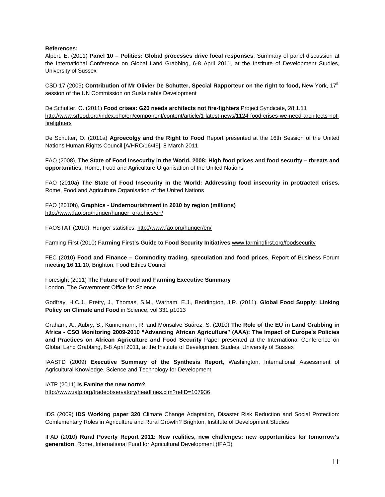#### **References:**

Alpert, E. (2011) **Panel 10 – Politics: Global processes drive local responses**, Summary of panel discussion at the International Conference on Global Land Grabbing, 6-8 April 2011, at the Institute of Development Studies, University of Sussex

CSD-17 (2009) Contribution of Mr Olivier De Schutter, Special Rapporteur on the right to food, New York, 17<sup>th</sup> session of the UN Commission on Sustainable Development

De Schutter, O. (2011) **Food crises: G20 needs architects not fire-fighters** Project Syndicate, 28.1.11 http://www.srfood.org/index.php/en/component/content/article/1-latest-news/1124-food-crises-we-need-architects-notfirefighters

De Schutter, O. (2011a) **Agroecolgy and the Right to Food** Report presented at the 16th Session of the United Nations Human Rights Council [A/HRC/16/49], 8 March 2011

FAO (2008), **The State of Food Insecurity in the World, 2008: High food prices and food security – threats and opportunities**, Rome, Food and Agriculture Organisation of the United Nations

FAO (2010a) **The State of Food Insecurity in the World: Addressing food insecurity in protracted crises**, Rome, Food and Agriculture Organisation of the United Nations

FAO (2010b), **Graphics - Undernourishment in 2010 by region (millions)** http://www.fao.org/hunger/hunger\_graphics/en/

FAOSTAT (2010), Hunger statistics, http://www.fao.org/hunger/en/

Farming First (2010) **Farming First's Guide to Food Security Initiatives** www.farmingfirst.org/foodsecurity

FEC (2010) **Food and Finance – Commodity trading, speculation and food prices**, Report of Business Forum meeting 16.11.10, Brighton, Food Ethics Council

Foresight (2011) **The Future of Food and Farming Executive Summary**  London, The Government Office for Science

Godfray, H.C.J., Pretty, J., Thomas, S.M., Warham, E.J., Beddington, J.R. (2011), **Global Food Supply: Linking Policy on Climate and Food** in Science, vol 331 p1013

Graham, A., Aubry, S., Künnemann, R. and Monsalve Suárez, S. (2010) **The Role of the EU in Land Grabbing in Africa - CSO Monitoring 2009-2010 "Advancing African Agriculture" (AAA): The Impact of Europe's Policies and Practices on African Agriculture and Food Security** Paper presented at the International Conference on Global Land Grabbing, 6-8 April 2011, at the Institute of Development Studies, University of Sussex

IAASTD (2009) **Executive Summary of the Synthesis Report**, Washington, International Assessment of Agricultural Knowledge, Science and Technology for Development

IATP (2011) **Is Famine the new norm?**  http://www.iatp.org/tradeobservatory/headlines.cfm?refID=107936

IDS (2009) **IDS Working paper 320** Climate Change Adaptation, Disaster Risk Reduction and Social Protection: Comlementary Roles in Agriculture and Rural Growth? Brighton, Institute of Development Studies

IFAD (2010) **Rural Poverty Report 2011: New realities, new challenges: new opportunities for tomorrow's generation**, Rome, International Fund for Agricultural Development (IFAD)